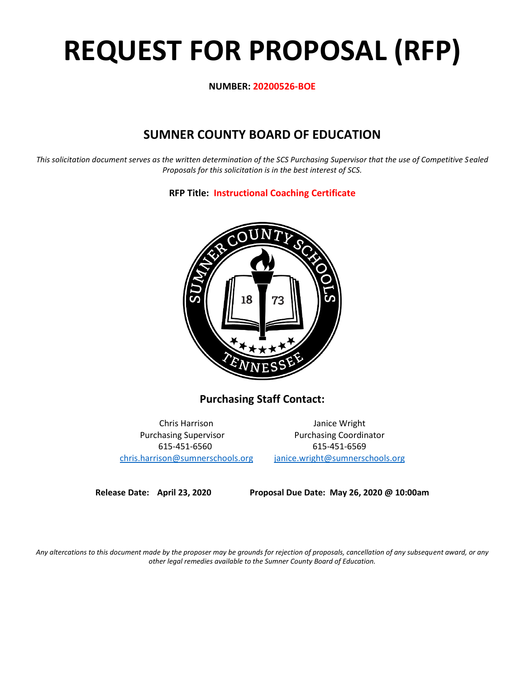# **REQUEST FOR PROPOSAL (RFP)**

**NUMBER: 20200526-BOE**

# **SUMNER COUNTY BOARD OF EDUCATION**

*This solicitation document serves as the written determination of the SCS Purchasing Supervisor that the use of Competitive Sealed Proposals for this solicitation is in the best interest of SCS.*

**RFP Title: Instructional Coaching Certificate**



**Purchasing Staff Contact:**

[chris.harrison@sumnerschools.org](mailto:chris.harrison@sumnerschools.org) [janice.wright@sumnerschools.org](mailto:janice.wright@sumnerschools.org)

Chris Harrison Janice Wright Purchasing Supervisor **Purchasing Coordinator** 615-451-6560 615-451-6569

**Release Date: April 23, 2020 Proposal Due Date: May 26, 2020 @ 10:00am**

*Any altercations to this document made by the proposer may be grounds for rejection of proposals, cancellation of any subsequent award, or any other legal remedies available to the Sumner County Board of Education.*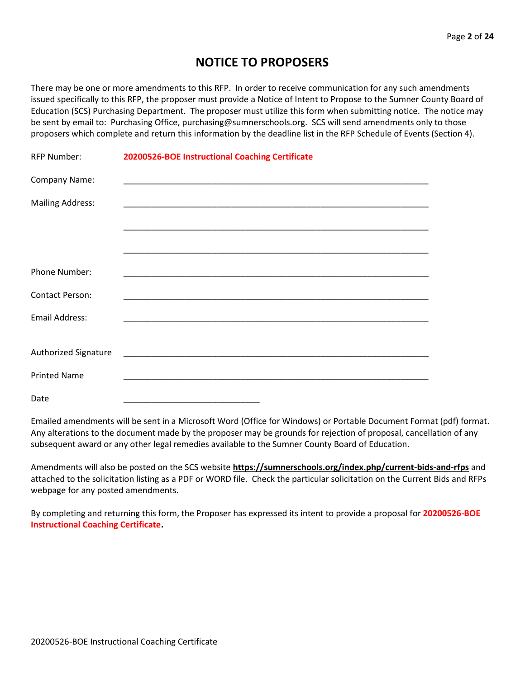# **NOTICE TO PROPOSERS**

There may be one or more amendments to this RFP. In order to receive communication for any such amendments issued specifically to this RFP, the proposer must provide a Notice of Intent to Propose to the Sumner County Board of Education (SCS) Purchasing Department. The proposer must utilize this form when submitting notice. The notice may be sent by email to: Purchasing Office, purchasing@sumnerschools.org. SCS will send amendments only to those proposers which complete and return this information by the deadline list in the RFP Schedule of Events (Section 4).

| <b>RFP Number:</b>          | 20200526-BOE Instructional Coaching Certificate |
|-----------------------------|-------------------------------------------------|
| Company Name:               |                                                 |
| <b>Mailing Address:</b>     |                                                 |
|                             |                                                 |
|                             |                                                 |
| Phone Number:               |                                                 |
| <b>Contact Person:</b>      |                                                 |
| <b>Email Address:</b>       |                                                 |
|                             |                                                 |
| <b>Authorized Signature</b> |                                                 |
| <b>Printed Name</b>         |                                                 |
| Date                        |                                                 |

Emailed amendments will be sent in a Microsoft Word (Office for Windows) or Portable Document Format (pdf) format. Any alterations to the document made by the proposer may be grounds for rejection of proposal, cancellation of any subsequent award or any other legal remedies available to the Sumner County Board of Education.

Amendments will also be posted on the SCS website **https://sumnerschools.org/index.php/current-bids-and-rfps** and attached to the solicitation listing as a PDF or WORD file. Check the particular solicitation on the Current Bids and RFPs webpage for any posted amendments.

By completing and returning this form, the Proposer has expressed its intent to provide a proposal for **20200526-BOE Instructional Coaching Certificate.**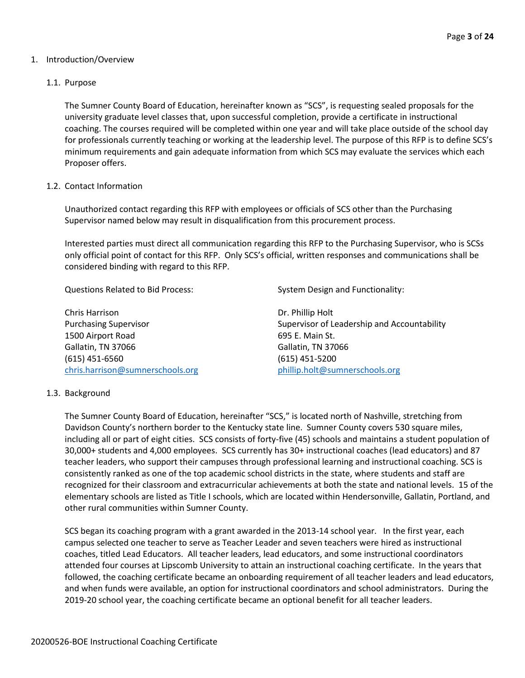# 1. Introduction/Overview

# 1.1. Purpose

The Sumner County Board of Education, hereinafter known as "SCS", is requesting sealed proposals for the university graduate level classes that, upon successful completion, provide a certificate in instructional coaching. The courses required will be completed within one year and will take place outside of the school day for professionals currently teaching or working at the leadership level. The purpose of this RFP is to define SCS's minimum requirements and gain adequate information from which SCS may evaluate the services which each Proposer offers.

# 1.2. Contact Information

Unauthorized contact regarding this RFP with employees or officials of SCS other than the Purchasing Supervisor named below may result in disqualification from this procurement process.

Interested parties must direct all communication regarding this RFP to the Purchasing Supervisor, who is SCSs only official point of contact for this RFP. Only SCS's official, written responses and communications shall be considered binding with regard to this RFP.

Questions Related to Bid Process: System Design and Functionality:

Chris Harrison **Dr. Phillip Holt** 1500 Airport Road 695 E. Main St. Gallatin, TN 37066 681261 661 661 671 681 682 691 692 692 693 694 694 695 691 692 693 694 695 697 698 697 698 6 (615) 451-6560 (615) 451-5200 [chris.harrison@sumnerschools.org](mailto:chris.harrison@sumnerschools.org) [phillip.holt@sumnerschools.org](mailto:phillip.holt@sumnerschools.org)

Purchasing Supervisor **Supervisor Supervisor of Leadership and Accountability Supervisor of Leadership and Accountability** 

# 1.3. Background

The Sumner County Board of Education, hereinafter "SCS," is located north of Nashville, stretching from Davidson County's northern border to the Kentucky state line. Sumner County covers 530 square miles, including all or part of eight cities. SCS consists of forty-five (45) schools and maintains a student population of 30,000+ students and 4,000 employees. SCS currently has 30+ instructional coaches (lead educators) and 87 teacher leaders, who support their campuses through professional learning and instructional coaching. SCS is consistently ranked as one of the top academic school districts in the state, where students and staff are recognized for their classroom and extracurricular achievements at both the state and national levels. 15 of the elementary schools are listed as Title I schools, which are located within Hendersonville, Gallatin, Portland, and other rural communities within Sumner County.

SCS began its coaching program with a grant awarded in the 2013-14 school year. In the first year, each campus selected one teacher to serve as Teacher Leader and seven teachers were hired as instructional coaches, titled Lead Educators. All teacher leaders, lead educators, and some instructional coordinators attended four courses at Lipscomb University to attain an instructional coaching certificate. In the years that followed, the coaching certificate became an onboarding requirement of all teacher leaders and lead educators, and when funds were available, an option for instructional coordinators and school administrators. During the 2019-20 school year, the coaching certificate became an optional benefit for all teacher leaders.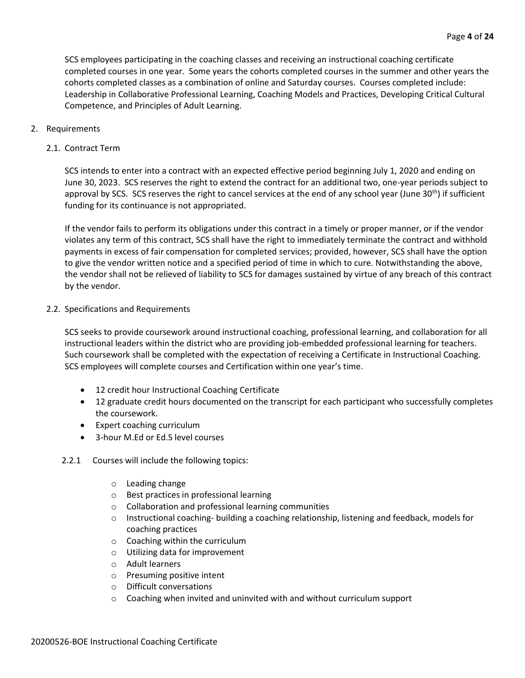SCS employees participating in the coaching classes and receiving an instructional coaching certificate completed courses in one year. Some years the cohorts completed courses in the summer and other years the cohorts completed classes as a combination of online and Saturday courses. Courses completed include: Leadership in Collaborative Professional Learning, Coaching Models and Practices, Developing Critical Cultural Competence, and Principles of Adult Learning.

- 2. Requirements
	- 2.1. Contract Term

SCS intends to enter into a contract with an expected effective period beginning July 1, 2020 and ending on June 30, 2023. SCS reserves the right to extend the contract for an additional two, one-year periods subject to approval by SCS. SCS reserves the right to cancel services at the end of any school year (June  $30^{th}$ ) if sufficient funding for its continuance is not appropriated.

If the vendor fails to perform its obligations under this contract in a timely or proper manner, or if the vendor violates any term of this contract, SCS shall have the right to immediately terminate the contract and withhold payments in excess of fair compensation for completed services; provided, however, SCS shall have the option to give the vendor written notice and a specified period of time in which to cure. Notwithstanding the above, the vendor shall not be relieved of liability to SCS for damages sustained by virtue of any breach of this contract by the vendor.

2.2. Specifications and Requirements

SCS seeks to provide coursework around instructional coaching, professional learning, and collaboration for all instructional leaders within the district who are providing job-embedded professional learning for teachers. Such coursework shall be completed with the expectation of receiving a Certificate in Instructional Coaching. SCS employees will complete courses and Certification within one year's time.

- 12 credit hour Instructional Coaching Certificate
- 12 graduate credit hours documented on the transcript for each participant who successfully completes the coursework.
- Expert coaching curriculum
- 3-hour M.Ed or Ed.S level courses
- 2.2.1 Courses will include the following topics:
	- o Leading change
	- o Best practices in professional learning
	- o Collaboration and professional learning communities
	- o Instructional coaching- building a coaching relationship, listening and feedback, models for coaching practices
	- o Coaching within the curriculum
	- o Utilizing data for improvement
	- o Adult learners
	- o Presuming positive intent
	- o Difficult conversations
	- $\circ$  Coaching when invited and uninvited with and without curriculum support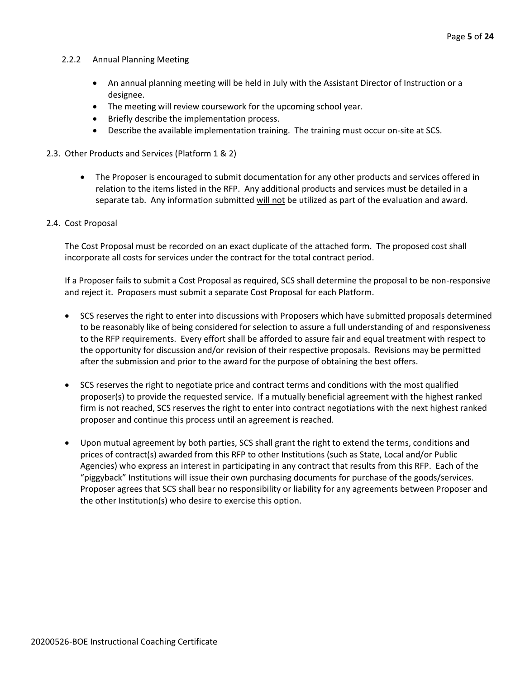# 2.2.2 Annual Planning Meeting

- An annual planning meeting will be held in July with the Assistant Director of Instruction or a designee.
- The meeting will review coursework for the upcoming school year.
- Briefly describe the implementation process.
- Describe the available implementation training. The training must occur on-site at SCS.
- 2.3. Other Products and Services (Platform 1 & 2)
	- The Proposer is encouraged to submit documentation for any other products and services offered in relation to the items listed in the RFP. Any additional products and services must be detailed in a separate tab. Any information submitted will not be utilized as part of the evaluation and award.
- 2.4. Cost Proposal

The Cost Proposal must be recorded on an exact duplicate of the attached form. The proposed cost shall incorporate all costs for services under the contract for the total contract period.

If a Proposer fails to submit a Cost Proposal as required, SCS shall determine the proposal to be non-responsive and reject it. Proposers must submit a separate Cost Proposal for each Platform.

- SCS reserves the right to enter into discussions with Proposers which have submitted proposals determined to be reasonably like of being considered for selection to assure a full understanding of and responsiveness to the RFP requirements. Every effort shall be afforded to assure fair and equal treatment with respect to the opportunity for discussion and/or revision of their respective proposals. Revisions may be permitted after the submission and prior to the award for the purpose of obtaining the best offers.
- SCS reserves the right to negotiate price and contract terms and conditions with the most qualified proposer(s) to provide the requested service. If a mutually beneficial agreement with the highest ranked firm is not reached, SCS reserves the right to enter into contract negotiations with the next highest ranked proposer and continue this process until an agreement is reached.
- Upon mutual agreement by both parties, SCS shall grant the right to extend the terms, conditions and prices of contract(s) awarded from this RFP to other Institutions (such as State, Local and/or Public Agencies) who express an interest in participating in any contract that results from this RFP. Each of the "piggyback" Institutions will issue their own purchasing documents for purchase of the goods/services. Proposer agrees that SCS shall bear no responsibility or liability for any agreements between Proposer and the other Institution(s) who desire to exercise this option.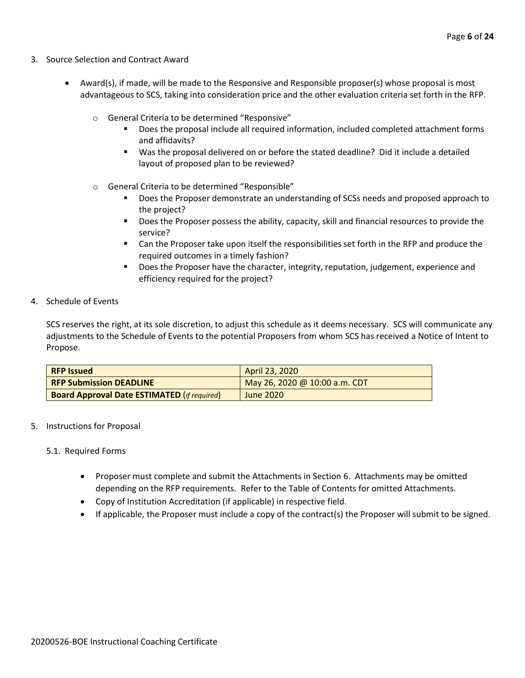- 3. Source Selection and Contract Award
	- Award(s), if made, will be made to the Responsive and Responsible proposer(s) whose proposal is most advantageous to SCS, taking into consideration price and the other evaluation criteria set forth in the RFP.
		- o General Criteria to be determined "Responsive"
			- Does the proposal include all required information, included completed attachment forms and affidavits?
			- Was the proposal delivered on or before the stated deadline? Did it include a detailed layout of proposed plan to be reviewed?
		- o General Criteria to be determined "Responsible"
			- Does the Proposer demonstrate an understanding of SCSs needs and proposed approach to the project?
			- Does the Proposer possess the ability, capacity, skill and financial resources to provide the service?
			- Can the Proposer take upon itself the responsibilities set forth in the RFP and produce the required outcomes in a timely fashion?
			- **■** Does the Proposer have the character, integrity, reputation, judgement, experience and efficiency required for the project?
- 4. Schedule of Events

SCS reserves the right, at its sole discretion, to adjust this schedule as it deems necessary. SCS will communicate any adjustments to the Schedule of Events to the potential Proposers from whom SCS has received a Notice of Intent to Propose.

| <b>RFP Issued</b>                                  | April 23, 2020                |
|----------------------------------------------------|-------------------------------|
| <b>RFP Submission DEADLINE</b>                     | May 26, 2020 @ 10:00 a.m. CDT |
| <b>Board Approval Date ESTIMATED (if required)</b> | June 2020                     |

5. Instructions for Proposal

# 5.1. Required Forms

- Proposer must complete and submit the Attachments in Section 6. Attachments may be omitted depending on the RFP requirements. Refer to the Table of Contents for omitted Attachments.
- Copy of Institution Accreditation (if applicable) in respective field.
- If applicable, the Proposer must include a copy of the contract(s) the Proposer will submit to be signed.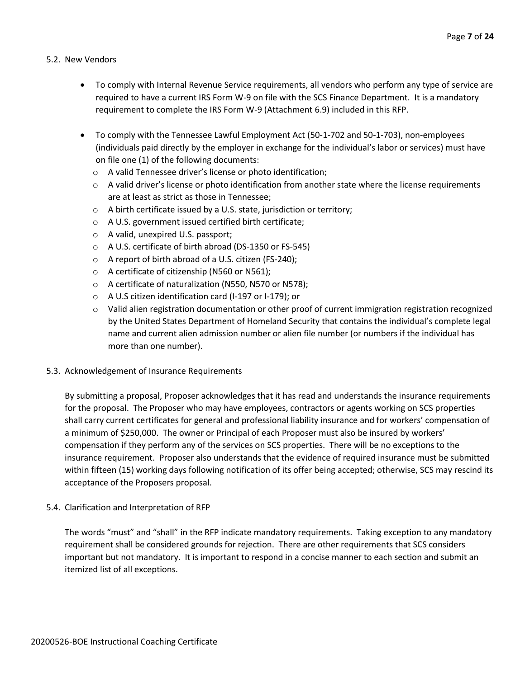# 5.2. New Vendors

- To comply with Internal Revenue Service requirements, all vendors who perform any type of service are required to have a current IRS Form W-9 on file with the SCS Finance Department. It is a mandatory requirement to complete the IRS Form W-9 (Attachment 6.9) included in this RFP.
- To comply with the Tennessee Lawful Employment Act (50-1-702 and 50-1-703), non-employees (individuals paid directly by the employer in exchange for the individual's labor or services) must have on file one (1) of the following documents:
	- o A valid Tennessee driver's license or photo identification;
	- $\circ$  A valid driver's license or photo identification from another state where the license requirements are at least as strict as those in Tennessee;
	- o A birth certificate issued by a U.S. state, jurisdiction or territory;
	- o A U.S. government issued certified birth certificate;
	- o A valid, unexpired U.S. passport;
	- o A U.S. certificate of birth abroad (DS-1350 or FS-545)
	- o A report of birth abroad of a U.S. citizen (FS-240);
	- o A certificate of citizenship (N560 or N561);
	- o A certificate of naturalization (N550, N570 or N578);
	- o A U.S citizen identification card (I-197 or I-179); or
	- $\circ$  Valid alien registration documentation or other proof of current immigration registration recognized by the United States Department of Homeland Security that contains the individual's complete legal name and current alien admission number or alien file number (or numbers if the individual has more than one number).
- 5.3. Acknowledgement of Insurance Requirements

By submitting a proposal, Proposer acknowledges that it has read and understands the insurance requirements for the proposal. The Proposer who may have employees, contractors or agents working on SCS properties shall carry current certificates for general and professional liability insurance and for workers' compensation of a minimum of \$250,000. The owner or Principal of each Proposer must also be insured by workers' compensation if they perform any of the services on SCS properties. There will be no exceptions to the insurance requirement. Proposer also understands that the evidence of required insurance must be submitted within fifteen (15) working days following notification of its offer being accepted; otherwise, SCS may rescind its acceptance of the Proposers proposal.

5.4. Clarification and Interpretation of RFP

The words "must" and "shall" in the RFP indicate mandatory requirements. Taking exception to any mandatory requirement shall be considered grounds for rejection. There are other requirements that SCS considers important but not mandatory. It is important to respond in a concise manner to each section and submit an itemized list of all exceptions.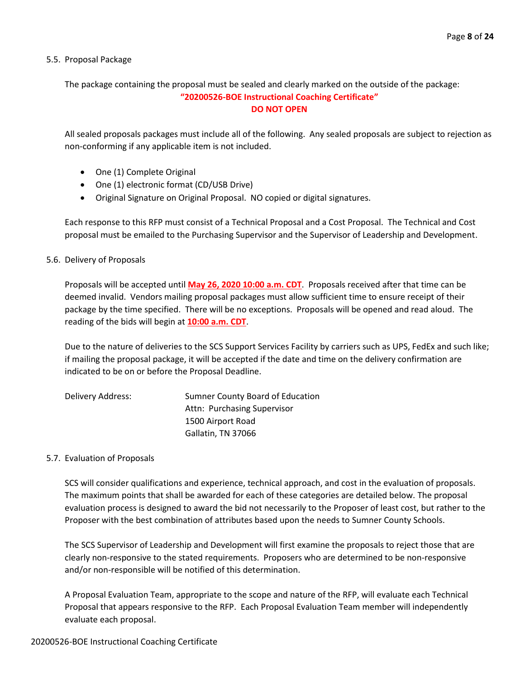# 5.5. Proposal Package

The package containing the proposal must be sealed and clearly marked on the outside of the package:

# **"20200526-BOE Instructional Coaching Certificate" DO NOT OPEN**

All sealed proposals packages must include all of the following. Any sealed proposals are subject to rejection as non-conforming if any applicable item is not included.

- One (1) Complete Original
- One (1) electronic format (CD/USB Drive)
- Original Signature on Original Proposal. NO copied or digital signatures.

Each response to this RFP must consist of a Technical Proposal and a Cost Proposal. The Technical and Cost proposal must be emailed to the Purchasing Supervisor and the Supervisor of Leadership and Development.

# 5.6. Delivery of Proposals

Proposals will be accepted until **May 26, 2020 10:00 a.m. CDT**. Proposals received after that time can be deemed invalid. Vendors mailing proposal packages must allow sufficient time to ensure receipt of their package by the time specified. There will be no exceptions. Proposals will be opened and read aloud. The reading of the bids will begin at **10:00 a.m. CDT**.

Due to the nature of deliveries to the SCS Support Services Facility by carriers such as UPS, FedEx and such like; if mailing the proposal package, it will be accepted if the date and time on the delivery confirmation are indicated to be on or before the Proposal Deadline.

| Delivery Address: | Sumner County Board of Education |
|-------------------|----------------------------------|
|                   | Attn: Purchasing Supervisor      |
|                   | 1500 Airport Road                |
|                   | Gallatin, TN 37066               |

# 5.7. Evaluation of Proposals

SCS will consider qualifications and experience, technical approach, and cost in the evaluation of proposals. The maximum points that shall be awarded for each of these categories are detailed below. The proposal evaluation process is designed to award the bid not necessarily to the Proposer of least cost, but rather to the Proposer with the best combination of attributes based upon the needs to Sumner County Schools.

The SCS Supervisor of Leadership and Development will first examine the proposals to reject those that are clearly non-responsive to the stated requirements. Proposers who are determined to be non-responsive and/or non-responsible will be notified of this determination.

A Proposal Evaluation Team, appropriate to the scope and nature of the RFP, will evaluate each Technical Proposal that appears responsive to the RFP. Each Proposal Evaluation Team member will independently evaluate each proposal.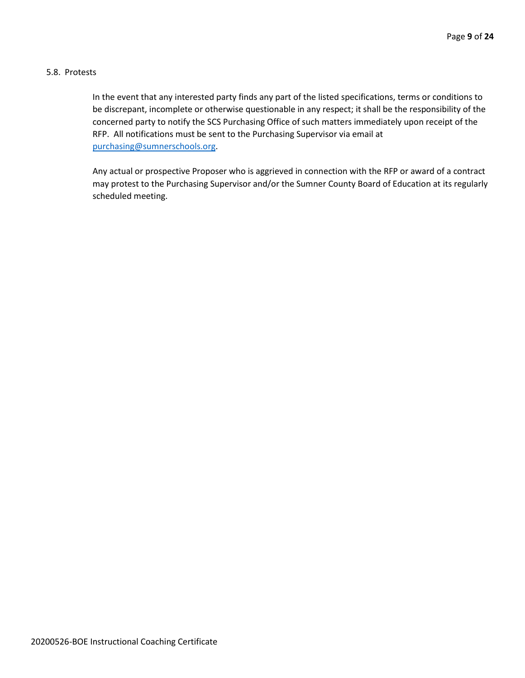# 5.8. Protests

In the event that any interested party finds any part of the listed specifications, terms or conditions to be discrepant, incomplete or otherwise questionable in any respect; it shall be the responsibility of the concerned party to notify the SCS Purchasing Office of such matters immediately upon receipt of the RFP. All notifications must be sent to the Purchasing Supervisor via email at [purchasing@sumnerschools.org.](mailto:purchasing@sumnerschools.org)

Any actual or prospective Proposer who is aggrieved in connection with the RFP or award of a contract may protest to the Purchasing Supervisor and/or the Sumner County Board of Education at its regularly scheduled meeting.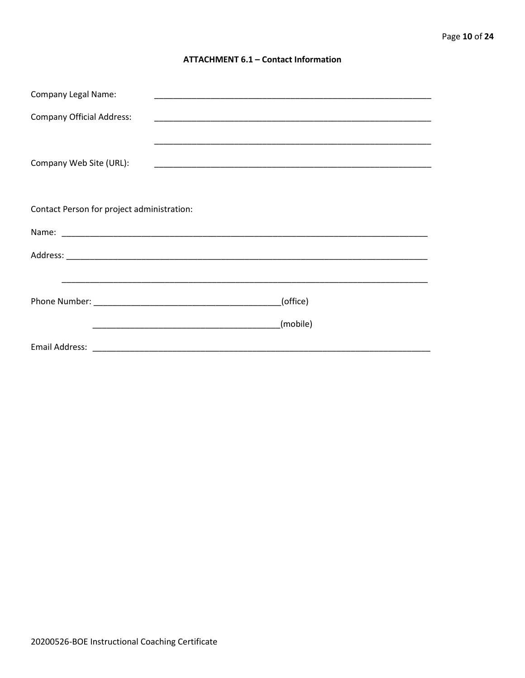# **ATTACHMENT 6.1 - Contact Information**

| <b>Company Legal Name:</b>                 |          |  |
|--------------------------------------------|----------|--|
| <b>Company Official Address:</b>           |          |  |
|                                            |          |  |
| Company Web Site (URL):                    |          |  |
|                                            |          |  |
|                                            |          |  |
| Contact Person for project administration: |          |  |
|                                            |          |  |
|                                            |          |  |
|                                            |          |  |
|                                            | (office) |  |
|                                            |          |  |
|                                            | (mobile) |  |
|                                            |          |  |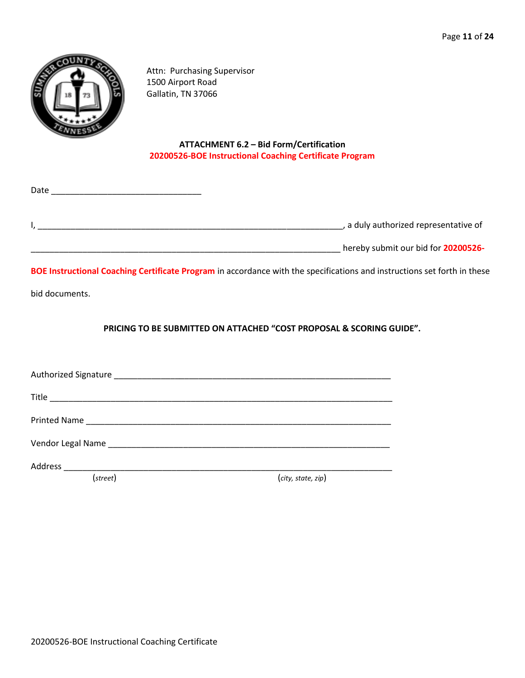

Date \_\_\_\_\_\_\_\_\_\_\_\_\_\_\_\_\_\_\_\_\_\_\_\_\_\_\_\_\_\_\_\_

Attn: Purchasing Supervisor 1500 Airport Road Gallatin, TN 37066

# **ATTACHMENT 6.2 – Bid Form/Certification 20200526-BOE Instructional Coaching Certificate Program**

| a duly authorized representative of |
|-------------------------------------|
|                                     |

\_\_\_\_\_\_\_\_\_\_\_\_\_\_\_\_\_\_\_\_\_\_\_\_\_\_\_\_\_\_\_\_\_\_\_\_\_\_\_\_\_\_\_\_\_\_\_\_\_\_\_\_\_\_\_\_\_\_\_\_\_\_\_\_\_\_ hereby submit our bid for **20200526-**

**BOE Instructional Coaching Certificate Program** in accordance with the specifications and instructions set forth in these

bid documents.

**PRICING TO BE SUBMITTED ON ATTACHED "COST PROPOSAL & SCORING GUIDE".**

Authorized Signature \_\_\_\_\_\_\_\_\_\_\_\_\_\_\_\_\_\_\_\_\_\_\_\_\_\_\_\_\_\_\_\_\_\_\_\_\_\_\_\_\_\_\_\_\_\_\_\_\_\_\_\_\_\_\_\_\_\_\_ Title \_\_\_\_\_\_\_\_\_\_\_\_\_\_\_\_\_\_\_\_\_\_\_\_\_\_\_\_\_\_\_\_\_\_\_\_\_\_\_\_\_\_\_\_\_\_\_\_\_\_\_\_\_\_\_\_\_\_\_\_\_\_\_\_\_\_\_\_\_\_\_\_\_ Printed Name and the set of the set of the set of the set of the set of the set of the set of the set of the set of the set of the set of the set of the set of the set of the set of the set of the set of the set of the set Vendor Legal Name was also as a series of the series of the series of the series of the series of the series of the series of the series of the series of the series of the series of the series of the series of the series o Address \_\_\_\_\_\_\_\_\_\_\_\_\_\_\_\_\_\_\_\_\_\_\_\_\_\_\_\_\_\_\_\_\_\_\_\_\_\_\_\_\_\_\_\_\_\_\_\_\_\_\_\_\_\_\_\_\_\_\_\_\_\_\_\_\_\_\_\_\_\_

(*street*) (*city, state, zip*)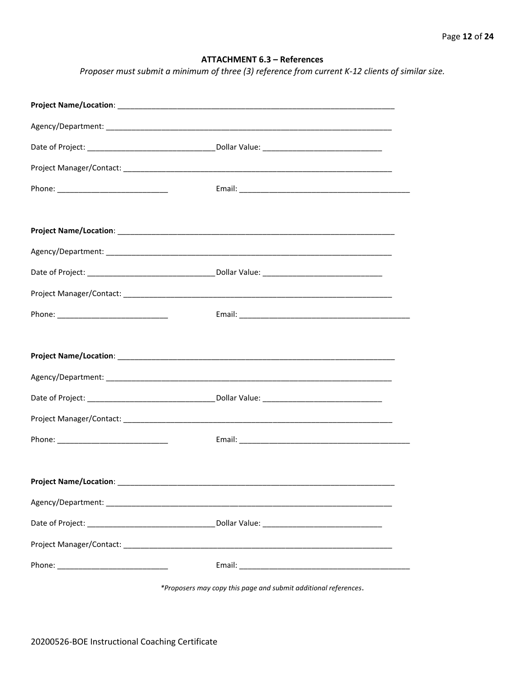# **ATTACHMENT 6.3 - References**

Proposer must submit a minimum of three (3) reference from current K-12 clients of similar size.

\*Proposers may copy this page and submit additional references.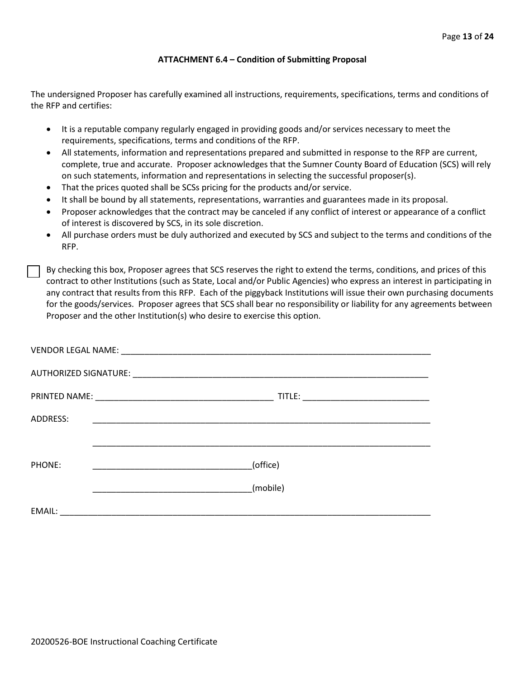# **ATTACHMENT 6.4 – Condition of Submitting Proposal**

The undersigned Proposer has carefully examined all instructions, requirements, specifications, terms and conditions of the RFP and certifies:

- It is a reputable company regularly engaged in providing goods and/or services necessary to meet the requirements, specifications, terms and conditions of the RFP.
- All statements, information and representations prepared and submitted in response to the RFP are current, complete, true and accurate. Proposer acknowledges that the Sumner County Board of Education (SCS) will rely on such statements, information and representations in selecting the successful proposer(s).
- That the prices quoted shall be SCSs pricing for the products and/or service.
- It shall be bound by all statements, representations, warranties and guarantees made in its proposal.
- Proposer acknowledges that the contract may be canceled if any conflict of interest or appearance of a conflict of interest is discovered by SCS, in its sole discretion.
- All purchase orders must be duly authorized and executed by SCS and subject to the terms and conditions of the RFP.

By checking this box, Proposer agrees that SCS reserves the right to extend the terms, conditions, and prices of this contract to other Institutions (such as State, Local and/or Public Agencies) who express an interest in participating in any contract that results from this RFP. Each of the piggyback Institutions will issue their own purchasing documents for the goods/services. Proposer agrees that SCS shall bear no responsibility or liability for any agreements between Proposer and the other Institution(s) who desire to exercise this option.

| ADDRESS: |          |
|----------|----------|
|          |          |
| PHONE:   | (office) |
|          | (mobile) |
| EMAIL:   |          |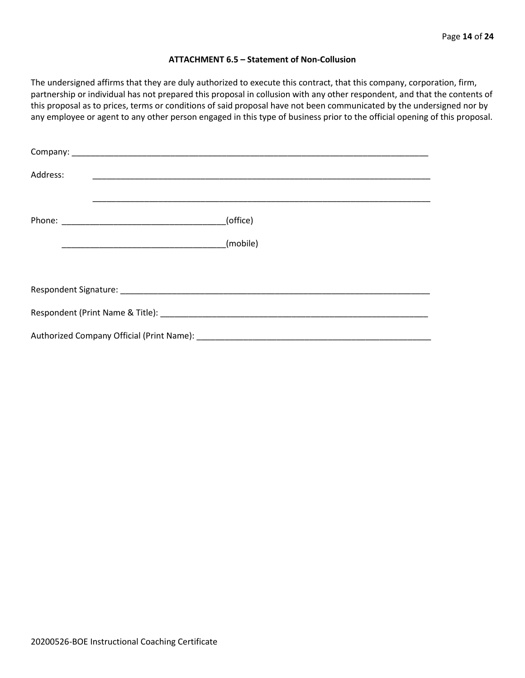## **ATTACHMENT 6.5 – Statement of Non-Collusion**

The undersigned affirms that they are duly authorized to execute this contract, that this company, corporation, firm, partnership or individual has not prepared this proposal in collusion with any other respondent, and that the contents of this proposal as to prices, terms or conditions of said proposal have not been communicated by the undersigned nor by any employee or agent to any other person engaged in this type of business prior to the official opening of this proposal.

| Address: |          |  |  |  |
|----------|----------|--|--|--|
|          | (office) |  |  |  |
|          |          |  |  |  |
|          |          |  |  |  |
|          |          |  |  |  |
|          |          |  |  |  |
|          |          |  |  |  |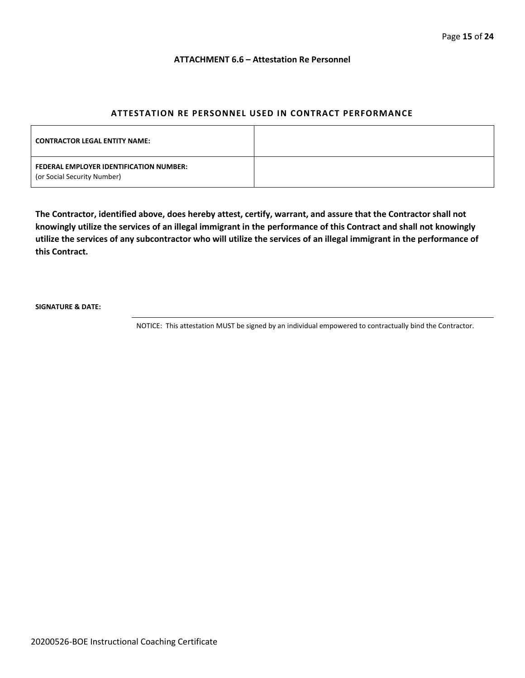#### **ATTACHMENT 6.6 – Attestation Re Personnel**

# **ATTESTATION RE PERSONNEL USED IN CONTRACT PERFORMANCE**

| <b>CONTRACTOR LEGAL ENTITY NAME:</b>                                   |  |
|------------------------------------------------------------------------|--|
| FEDERAL EMPLOYER IDENTIFICATION NUMBER:<br>(or Social Security Number) |  |

**The Contractor, identified above, does hereby attest, certify, warrant, and assure that the Contractor shall not knowingly utilize the services of an illegal immigrant in the performance of this Contract and shall not knowingly utilize the services of any subcontractor who will utilize the services of an illegal immigrant in the performance of this Contract.**

**SIGNATURE & DATE:**

NOTICE: This attestation MUST be signed by an individual empowered to contractually bind the Contractor.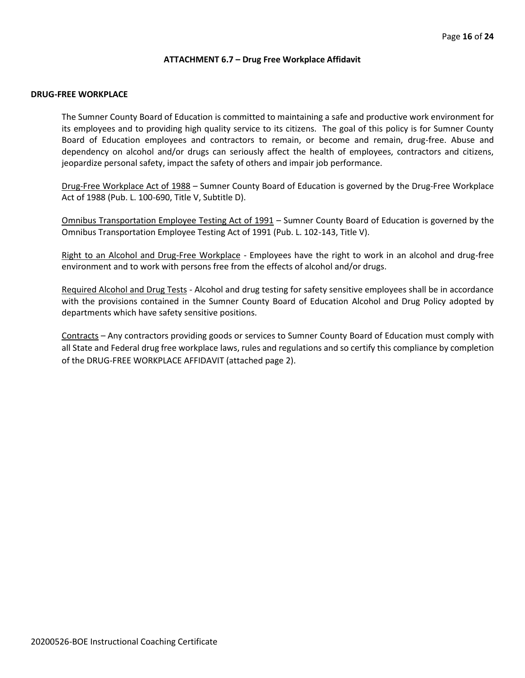## **ATTACHMENT 6.7 – Drug Free Workplace Affidavit**

# **DRUG-FREE WORKPLACE**

The Sumner County Board of Education is committed to maintaining a safe and productive work environment for its employees and to providing high quality service to its citizens. The goal of this policy is for Sumner County Board of Education employees and contractors to remain, or become and remain, drug-free. Abuse and dependency on alcohol and/or drugs can seriously affect the health of employees, contractors and citizens, jeopardize personal safety, impact the safety of others and impair job performance.

Drug-Free Workplace Act of 1988 – Sumner County Board of Education is governed by the Drug-Free Workplace Act of 1988 (Pub. L. 100-690, Title V, Subtitle D).

Omnibus Transportation Employee Testing Act of 1991 – Sumner County Board of Education is governed by the Omnibus Transportation Employee Testing Act of 1991 (Pub. L. 102-143, Title V).

Right to an Alcohol and Drug-Free Workplace - Employees have the right to work in an alcohol and drug-free environment and to work with persons free from the effects of alcohol and/or drugs.

Required Alcohol and Drug Tests - Alcohol and drug testing for safety sensitive employees shall be in accordance with the provisions contained in the Sumner County Board of Education Alcohol and Drug Policy adopted by departments which have safety sensitive positions.

Contracts – Any contractors providing goods or services to Sumner County Board of Education must comply with all State and Federal drug free workplace laws, rules and regulations and so certify this compliance by completion of the DRUG-FREE WORKPLACE AFFIDAVIT (attached page 2).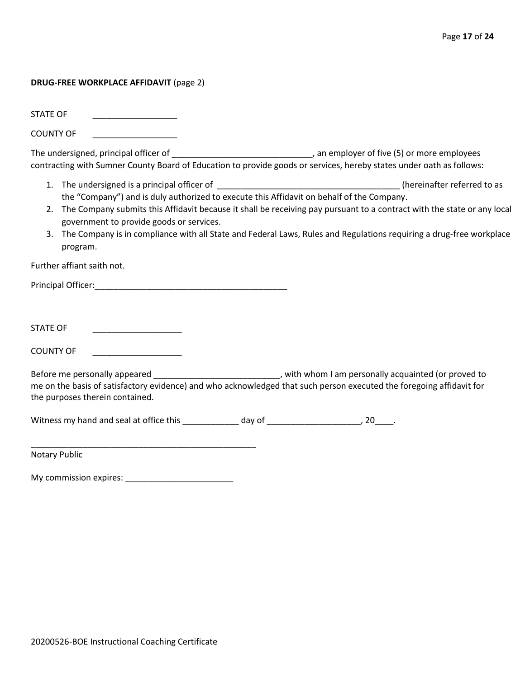## **DRUG-FREE WORKPLACE AFFIDAVIT** (page 2)

STATE OF

COUNTY OF

The undersigned, principal officer of \_\_\_\_\_\_\_\_\_\_\_\_\_\_\_\_\_\_\_\_\_\_\_\_\_\_\_\_\_\_, an employer of five (5) or more employees contracting with Sumner County Board of Education to provide goods or services, hereby states under oath as follows:

- 1. The undersigned is a principal officer of \_\_\_\_\_\_\_\_\_\_\_\_\_\_\_\_\_\_\_\_\_\_\_\_\_\_\_\_\_\_\_\_\_\_\_\_\_\_\_ (hereinafter referred to as the "Company") and is duly authorized to execute this Affidavit on behalf of the Company.
- 2. The Company submits this Affidavit because it shall be receiving pay pursuant to a contract with the state or any local government to provide goods or services.
- 3. The Company is in compliance with all State and Federal Laws, Rules and Regulations requiring a drug-free workplace program.

Further affiant saith not.

Principal Officer:\_\_\_\_\_\_\_\_\_\_\_\_\_\_\_\_\_\_\_\_\_\_\_\_\_\_\_\_\_\_\_\_\_\_\_\_\_\_\_\_\_

STATE OF \_\_\_\_\_\_\_\_\_\_\_\_\_\_\_\_\_\_\_

COUNTY OF

Before me personally appeared \_\_\_\_\_\_\_\_\_\_\_\_\_\_\_\_\_\_\_\_\_\_\_\_\_\_\_\_\_, with whom I am personally acquainted (or proved to me on the basis of satisfactory evidence) and who acknowledged that such person executed the foregoing affidavit for the purposes therein contained.

Witness my hand and seal at office this \_\_\_\_\_\_\_\_\_\_\_\_\_ day of \_\_\_\_\_\_\_\_\_\_\_\_\_\_\_\_\_\_\_, 20\_\_\_\_.

Notary Public

My commission expires: \_\_\_\_\_\_\_\_\_\_\_\_\_\_\_\_\_\_\_\_\_\_\_

\_\_\_\_\_\_\_\_\_\_\_\_\_\_\_\_\_\_\_\_\_\_\_\_\_\_\_\_\_\_\_\_\_\_\_\_\_\_\_\_\_\_\_\_\_\_\_\_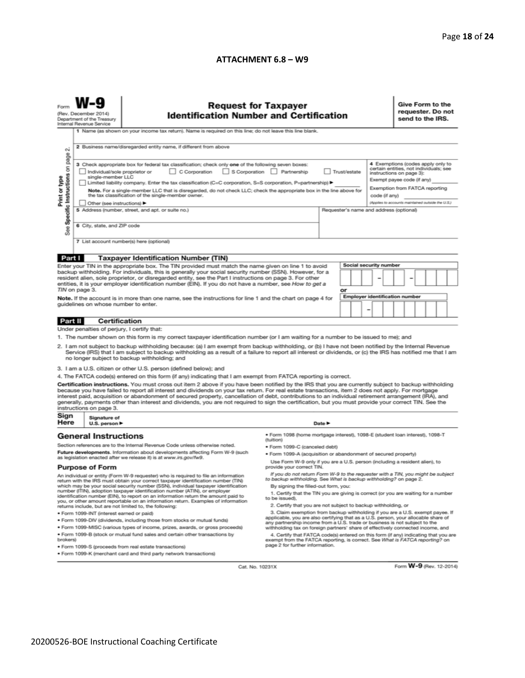# **ATTACHMENT 6.8 – W9**

| <b>Request for Taxpayer</b><br>(Rev. December 2014)<br><b>Identification Number and Certification</b><br>Department of the Treasury<br>Internal Revenue Service<br>1 Name (as shown on your income tax return). Name is required on this line; do not leave this line blank.                                                                                                                                                                                                                                      |                                                                                                                                                                                                          |                                                                                                                                                                                                                                                                                                                                                                                                                                                                                                                                                                                                                               |                                                                                                                                                                                                        |                                                                                                                                                                  |    |  | Give Form to the<br>requester. Do not<br>send to the IRS. |  |                                                                                     |  |  |  |
|-------------------------------------------------------------------------------------------------------------------------------------------------------------------------------------------------------------------------------------------------------------------------------------------------------------------------------------------------------------------------------------------------------------------------------------------------------------------------------------------------------------------|----------------------------------------------------------------------------------------------------------------------------------------------------------------------------------------------------------|-------------------------------------------------------------------------------------------------------------------------------------------------------------------------------------------------------------------------------------------------------------------------------------------------------------------------------------------------------------------------------------------------------------------------------------------------------------------------------------------------------------------------------------------------------------------------------------------------------------------------------|--------------------------------------------------------------------------------------------------------------------------------------------------------------------------------------------------------|------------------------------------------------------------------------------------------------------------------------------------------------------------------|----|--|-----------------------------------------------------------|--|-------------------------------------------------------------------------------------|--|--|--|
| σû                                                                                                                                                                                                                                                                                                                                                                                                                                                                                                                |                                                                                                                                                                                                          | 2 Business name/disregarded entity name, if different from above                                                                                                                                                                                                                                                                                                                                                                                                                                                                                                                                                              |                                                                                                                                                                                                        |                                                                                                                                                                  |    |  |                                                           |  |                                                                                     |  |  |  |
| Specific Instructions on page<br>4 Exemptions (codes apply only to<br>3 Check appropriate box for federal tax classification; check only one of the following seven boxes:<br>certain entities, not individuals; see<br>C Corporation<br>S Corporation Partnership<br>Trust/estate<br>Individual/sole proprietor or<br>instructions on page 3):<br>single-member LLC<br>Exempt payee code (if any)<br>Limited liability company. Enter the tax classification (C=C corporation, S=S corporation, P=partnership) ▶ |                                                                                                                                                                                                          |                                                                                                                                                                                                                                                                                                                                                                                                                                                                                                                                                                                                                               |                                                                                                                                                                                                        |                                                                                                                                                                  |    |  |                                                           |  |                                                                                     |  |  |  |
| Print or type                                                                                                                                                                                                                                                                                                                                                                                                                                                                                                     | Other (see instructions) ▶                                                                                                                                                                               | Note. For a single-member LLC that is disregarded, do not check LLC; check the appropriate box in the line above for<br>the tax classification of the single-member owner.                                                                                                                                                                                                                                                                                                                                                                                                                                                    |                                                                                                                                                                                                        |                                                                                                                                                                  |    |  | code (if any)                                             |  | Exemption from FATCA reporting<br>(Applies to accounts maintained outside the U.S.) |  |  |  |
| See                                                                                                                                                                                                                                                                                                                                                                                                                                                                                                               | 6 City, state, and ZIP code                                                                                                                                                                              | 5 Address (number, street, and apt. or suite no.)                                                                                                                                                                                                                                                                                                                                                                                                                                                                                                                                                                             |                                                                                                                                                                                                        | Requester's name and address (optional)                                                                                                                          |    |  |                                                           |  |                                                                                     |  |  |  |
|                                                                                                                                                                                                                                                                                                                                                                                                                                                                                                                   |                                                                                                                                                                                                          | 7 List account number(s) here (optional)                                                                                                                                                                                                                                                                                                                                                                                                                                                                                                                                                                                      |                                                                                                                                                                                                        |                                                                                                                                                                  |    |  |                                                           |  |                                                                                     |  |  |  |
| Part I                                                                                                                                                                                                                                                                                                                                                                                                                                                                                                            |                                                                                                                                                                                                          | <b>Taxpayer Identification Number (TIN)</b>                                                                                                                                                                                                                                                                                                                                                                                                                                                                                                                                                                                   |                                                                                                                                                                                                        |                                                                                                                                                                  |    |  |                                                           |  |                                                                                     |  |  |  |
|                                                                                                                                                                                                                                                                                                                                                                                                                                                                                                                   |                                                                                                                                                                                                          | Enter your TIN in the appropriate box. The TIN provided must match the name given on line 1 to avoid                                                                                                                                                                                                                                                                                                                                                                                                                                                                                                                          |                                                                                                                                                                                                        |                                                                                                                                                                  |    |  | Social security number                                    |  |                                                                                     |  |  |  |
|                                                                                                                                                                                                                                                                                                                                                                                                                                                                                                                   | TIN on page 3.                                                                                                                                                                                           | backup withholding. For individuals, this is generally your social security number (SSN). However, for a<br>resident alien, sole proprietor, or disregarded entity, see the Part I instructions on page 3. For other<br>entities, it is your employer identification number (EIN). If you do not have a number, see How to get a                                                                                                                                                                                                                                                                                              |                                                                                                                                                                                                        |                                                                                                                                                                  | or |  |                                                           |  |                                                                                     |  |  |  |
|                                                                                                                                                                                                                                                                                                                                                                                                                                                                                                                   | guidelines on whose number to enter.                                                                                                                                                                     | Note. If the account is in more than one name, see the instructions for line 1 and the chart on page 4 for                                                                                                                                                                                                                                                                                                                                                                                                                                                                                                                    |                                                                                                                                                                                                        |                                                                                                                                                                  |    |  | <b>Employer identification number</b><br>-                |  |                                                                                     |  |  |  |
| Part II                                                                                                                                                                                                                                                                                                                                                                                                                                                                                                           | <b>Certification</b>                                                                                                                                                                                     |                                                                                                                                                                                                                                                                                                                                                                                                                                                                                                                                                                                                                               |                                                                                                                                                                                                        |                                                                                                                                                                  |    |  |                                                           |  |                                                                                     |  |  |  |
|                                                                                                                                                                                                                                                                                                                                                                                                                                                                                                                   | Under penalties of perjury, I certify that:                                                                                                                                                              |                                                                                                                                                                                                                                                                                                                                                                                                                                                                                                                                                                                                                               |                                                                                                                                                                                                        |                                                                                                                                                                  |    |  |                                                           |  |                                                                                     |  |  |  |
|                                                                                                                                                                                                                                                                                                                                                                                                                                                                                                                   |                                                                                                                                                                                                          | 1. The number shown on this form is my correct taxpayer identification number (or I am waiting for a number to be issued to me); and                                                                                                                                                                                                                                                                                                                                                                                                                                                                                          |                                                                                                                                                                                                        |                                                                                                                                                                  |    |  |                                                           |  |                                                                                     |  |  |  |
|                                                                                                                                                                                                                                                                                                                                                                                                                                                                                                                   |                                                                                                                                                                                                          | 2. I am not subject to backup withholding because: (a) I am exempt from backup withholding, or (b) I have not been notified by the Internal Revenue<br>Service (IRS) that I am subject to backup withholding as a result of a failure to report all interest or dividends, or (c) the IRS has notified me that I am<br>no longer subject to backup withholding; and                                                                                                                                                                                                                                                           |                                                                                                                                                                                                        |                                                                                                                                                                  |    |  |                                                           |  |                                                                                     |  |  |  |
|                                                                                                                                                                                                                                                                                                                                                                                                                                                                                                                   |                                                                                                                                                                                                          | 3. I am a U.S. citizen or other U.S. person (defined below); and                                                                                                                                                                                                                                                                                                                                                                                                                                                                                                                                                              |                                                                                                                                                                                                        |                                                                                                                                                                  |    |  |                                                           |  |                                                                                     |  |  |  |
|                                                                                                                                                                                                                                                                                                                                                                                                                                                                                                                   |                                                                                                                                                                                                          | 4. The FATCA code(s) entered on this form (if any) indicating that I am exempt from FATCA reporting is correct.                                                                                                                                                                                                                                                                                                                                                                                                                                                                                                               |                                                                                                                                                                                                        |                                                                                                                                                                  |    |  |                                                           |  |                                                                                     |  |  |  |
|                                                                                                                                                                                                                                                                                                                                                                                                                                                                                                                   | instructions on page 3.                                                                                                                                                                                  | Certification instructions. You must cross out item 2 above if you have been notified by the IRS that you are currently subject to backup withholding<br>because you have failed to report all interest and dividends on your tax return. For real estate transactions, item 2 does not apply. For mortgage<br>interest paid, acquisition or abandonment of secured property, cancellation of debt, contributions to an individual retirement arrangement (IRA), and<br>generally, payments other than interest and dividends, you are not required to sign the certification, but you must provide your correct TIN. See the |                                                                                                                                                                                                        |                                                                                                                                                                  |    |  |                                                           |  |                                                                                     |  |  |  |
| Sign<br>Here                                                                                                                                                                                                                                                                                                                                                                                                                                                                                                      | Signature of<br>U.S. person ▶                                                                                                                                                                            |                                                                                                                                                                                                                                                                                                                                                                                                                                                                                                                                                                                                                               |                                                                                                                                                                                                        | Date P                                                                                                                                                           |    |  |                                                           |  |                                                                                     |  |  |  |
|                                                                                                                                                                                                                                                                                                                                                                                                                                                                                                                   | <b>General Instructions</b>                                                                                                                                                                              | Section references are to the Internal Revenue Code unless otherwise noted.                                                                                                                                                                                                                                                                                                                                                                                                                                                                                                                                                   | · Form 1098 (home mortgage interest), 1098-E (student Ioan interest), 1098-T<br>(tuition)                                                                                                              |                                                                                                                                                                  |    |  |                                                           |  |                                                                                     |  |  |  |
|                                                                                                                                                                                                                                                                                                                                                                                                                                                                                                                   |                                                                                                                                                                                                          | Future developments. Information about developments affecting Form W-9 (such                                                                                                                                                                                                                                                                                                                                                                                                                                                                                                                                                  | • Form 1099-C (canceled debt)<br>. Form 1099-A (acquisition or abandonment of secured property)                                                                                                        |                                                                                                                                                                  |    |  |                                                           |  |                                                                                     |  |  |  |
|                                                                                                                                                                                                                                                                                                                                                                                                                                                                                                                   | as legislation enacted after we release it) is at www.irs.gov/fw9.<br>Use Form W-9 only if you are a U.S. person (including a resident alien), to<br>provide your correct TIN.<br><b>Purpose of Form</b> |                                                                                                                                                                                                                                                                                                                                                                                                                                                                                                                                                                                                                               |                                                                                                                                                                                                        |                                                                                                                                                                  |    |  |                                                           |  |                                                                                     |  |  |  |
| If you do not return Form W-9 to the requester with a TIN, you might be subject<br>An individual or entity (Form W-9 requester) who is required to file an information<br>to backup withholding. See What is backup withholding? on page 2.<br>return with the IRS must obtain your correct taxpayer identification number (TIN)                                                                                                                                                                                  |                                                                                                                                                                                                          |                                                                                                                                                                                                                                                                                                                                                                                                                                                                                                                                                                                                                               |                                                                                                                                                                                                        |                                                                                                                                                                  |    |  |                                                           |  |                                                                                     |  |  |  |
| which may be your social security number (SSN), individual taxpayer identification<br>By signing the filled-out form, you:<br>number (ITIN), adoption taxpayer identification number (ATIN), or employer                                                                                                                                                                                                                                                                                                          |                                                                                                                                                                                                          |                                                                                                                                                                                                                                                                                                                                                                                                                                                                                                                                                                                                                               |                                                                                                                                                                                                        |                                                                                                                                                                  |    |  |                                                           |  |                                                                                     |  |  |  |
| 1. Certify that the TIN you are giving is correct (or you are waiting for a number<br>identification number (EIN), to report on an information return the amount paid to<br>to be issued).<br>you, or other amount reportable on an information return. Examples of information<br>2. Certify that you are not subject to backup withholding, or                                                                                                                                                                  |                                                                                                                                                                                                          |                                                                                                                                                                                                                                                                                                                                                                                                                                                                                                                                                                                                                               |                                                                                                                                                                                                        |                                                                                                                                                                  |    |  |                                                           |  |                                                                                     |  |  |  |
|                                                                                                                                                                                                                                                                                                                                                                                                                                                                                                                   | · Form 1099-INT (interest earned or paid)                                                                                                                                                                | returns include, but are not limited to, the following:                                                                                                                                                                                                                                                                                                                                                                                                                                                                                                                                                                       | 3. Claim exemption from backup withholding if you are a U.S. exempt payee. If                                                                                                                          |                                                                                                                                                                  |    |  |                                                           |  |                                                                                     |  |  |  |
| . Form 1099-DIV (dividends, including those from stocks or mutual funds)                                                                                                                                                                                                                                                                                                                                                                                                                                          |                                                                                                                                                                                                          |                                                                                                                                                                                                                                                                                                                                                                                                                                                                                                                                                                                                                               |                                                                                                                                                                                                        | applicable, you are also certifying that as a U.S. person, your allocable share of<br>any partnership income from a U.S. trade or business is not subject to the |    |  |                                                           |  |                                                                                     |  |  |  |
|                                                                                                                                                                                                                                                                                                                                                                                                                                                                                                                   |                                                                                                                                                                                                          | . Form 1099-MISC (various types of income, prizes, awards, or gross proceeds)                                                                                                                                                                                                                                                                                                                                                                                                                                                                                                                                                 | withholding tax on foreign partners' share of effectively connected income, and                                                                                                                        |                                                                                                                                                                  |    |  |                                                           |  |                                                                                     |  |  |  |
| brokers)                                                                                                                                                                                                                                                                                                                                                                                                                                                                                                          |                                                                                                                                                                                                          | . Form 1099-B (stock or mutual fund sales and certain other transactions by<br>· Form 1099-S (proceeds from real estate transactions)                                                                                                                                                                                                                                                                                                                                                                                                                                                                                         | 4. Certify that FATCA code(s) entered on this form (if any) indicating that you are<br>exempt from the FATCA reporting, is correct. See What is FATCA reporting? on<br>page 2 for further information. |                                                                                                                                                                  |    |  |                                                           |  |                                                                                     |  |  |  |
|                                                                                                                                                                                                                                                                                                                                                                                                                                                                                                                   |                                                                                                                                                                                                          | . Form 1099-K (merchant card and third party network transactions)                                                                                                                                                                                                                                                                                                                                                                                                                                                                                                                                                            |                                                                                                                                                                                                        |                                                                                                                                                                  |    |  |                                                           |  |                                                                                     |  |  |  |

Cat. No. 10231X

Form **W-9** (Rev. 12-2014)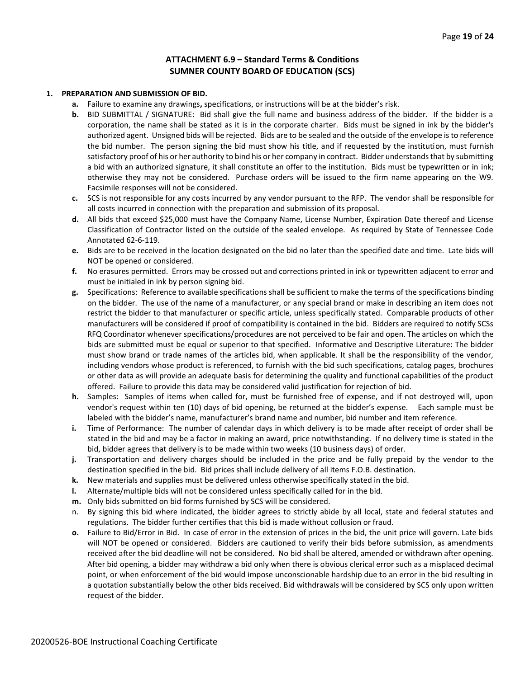# **ATTACHMENT 6.9 – Standard Terms & Conditions SUMNER COUNTY BOARD OF EDUCATION (SCS)**

#### **1. PREPARATION AND SUBMISSION OF BID.**

- **a.** Failure to examine any drawings**,** specifications, or instructions will be at the bidder's risk.
- **b.** BID SUBMITTAL / SIGNATURE: Bid shall give the full name and business address of the bidder. If the bidder is a corporation, the name shall be stated as it is in the corporate charter. Bids must be signed in ink by the bidder's authorized agent. Unsigned bids will be rejected. Bids are to be sealed and the outside of the envelope is to reference the bid number. The person signing the bid must show his title, and if requested by the institution, must furnish satisfactory proof of his or her authority to bind his or her company in contract. Bidder understands that by submitting a bid with an authorized signature, it shall constitute an offer to the institution. Bids must be typewritten or in ink; otherwise they may not be considered. Purchase orders will be issued to the firm name appearing on the W9. Facsimile responses will not be considered.
- **c.** SCS is not responsible for any costs incurred by any vendor pursuant to the RFP. The vendor shall be responsible for all costs incurred in connection with the preparation and submission of its proposal.
- **d.** All bids that exceed \$25,000 must have the Company Name, License Number, Expiration Date thereof and License Classification of Contractor listed on the outside of the sealed envelope. As required by State of Tennessee Code Annotated 62-6-119.
- **e.** Bids are to be received in the location designated on the bid no later than the specified date and time. Late bids will NOT be opened or considered.
- **f.** No erasures permitted. Errors may be crossed out and corrections printed in ink or typewritten adjacent to error and must be initialed in ink by person signing bid.
- **g.** Specifications: Reference to available specifications shall be sufficient to make the terms of the specifications binding on the bidder. The use of the name of a manufacturer, or any special brand or make in describing an item does not restrict the bidder to that manufacturer or specific article, unless specifically stated. Comparable products of other manufacturers will be considered if proof of compatibility is contained in the bid. Bidders are required to notify SCSs RFQ Coordinator whenever specifications/procedures are not perceived to be fair and open. The articles on which the bids are submitted must be equal or superior to that specified. Informative and Descriptive Literature: The bidder must show brand or trade names of the articles bid, when applicable. It shall be the responsibility of the vendor, including vendors whose product is referenced, to furnish with the bid such specifications, catalog pages, brochures or other data as will provide an adequate basis for determining the quality and functional capabilities of the product offered. Failure to provide this data may be considered valid justification for rejection of bid.
- **h.** Samples: Samples of items when called for, must be furnished free of expense, and if not destroyed will, upon vendor's request within ten (10) days of bid opening, be returned at the bidder's expense. Each sample must be labeled with the bidder's name, manufacturer's brand name and number, bid number and item reference.
- **i.** Time of Performance: The number of calendar days in which delivery is to be made after receipt of order shall be stated in the bid and may be a factor in making an award, price notwithstanding. If no delivery time is stated in the bid, bidder agrees that delivery is to be made within two weeks (10 business days) of order.
- **j.** Transportation and delivery charges should be included in the price and be fully prepaid by the vendor to the destination specified in the bid. Bid prices shall include delivery of all items F.O.B. destination.
- **k.** New materials and supplies must be delivered unless otherwise specifically stated in the bid.
- **l.** Alternate/multiple bids will not be considered unless specifically called for in the bid.
- **m.** Only bids submitted on bid forms furnished by SCS will be considered.
- n. By signing this bid where indicated, the bidder agrees to strictly abide by all local, state and federal statutes and regulations. The bidder further certifies that this bid is made without collusion or fraud.
- **o.** Failure to Bid/Error in Bid. In case of error in the extension of prices in the bid, the unit price will govern. Late bids will NOT be opened or considered. Bidders are cautioned to verify their bids before submission, as amendments received after the bid deadline will not be considered. No bid shall be altered, amended or withdrawn after opening. After bid opening, a bidder may withdraw a bid only when there is obvious clerical error such as a misplaced decimal point, or when enforcement of the bid would impose unconscionable hardship due to an error in the bid resulting in a quotation substantially below the other bids received. Bid withdrawals will be considered by SCS only upon written request of the bidder.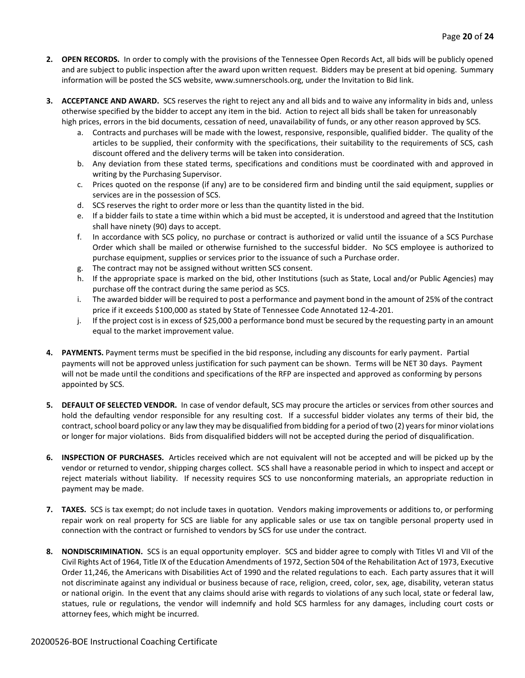- **2. OPEN RECORDS.** In order to comply with the provisions of the Tennessee Open Records Act, all bids will be publicly opened and are subject to public inspection after the award upon written request. Bidders may be present at bid opening. Summary information will be posted the SCS website, www.sumnerschools.org, under the Invitation to Bid link.
- **3. ACCEPTANCE AND AWARD.** SCS reserves the right to reject any and all bids and to waive any informality in bids and, unless otherwise specified by the bidder to accept any item in the bid. Action to reject all bids shall be taken for unreasonably high prices, errors in the bid documents, cessation of need, unavailability of funds, or any other reason approved by SCS.
	- a. Contracts and purchases will be made with the lowest, responsive, responsible, qualified bidder. The quality of the articles to be supplied, their conformity with the specifications, their suitability to the requirements of SCS, cash discount offered and the delivery terms will be taken into consideration.
	- b. Any deviation from these stated terms, specifications and conditions must be coordinated with and approved in writing by the Purchasing Supervisor.
	- c. Prices quoted on the response (if any) are to be considered firm and binding until the said equipment, supplies or services are in the possession of SCS.
	- d. SCS reserves the right to order more or less than the quantity listed in the bid.
	- e. If a bidder fails to state a time within which a bid must be accepted, it is understood and agreed that the Institution shall have ninety (90) days to accept.
	- f. In accordance with SCS policy, no purchase or contract is authorized or valid until the issuance of a SCS Purchase Order which shall be mailed or otherwise furnished to the successful bidder. No SCS employee is authorized to purchase equipment, supplies or services prior to the issuance of such a Purchase order.
	- g. The contract may not be assigned without written SCS consent.
	- h. If the appropriate space is marked on the bid, other Institutions (such as State, Local and/or Public Agencies) may purchase off the contract during the same period as SCS.
	- i. The awarded bidder will be required to post a performance and payment bond in the amount of 25% of the contract price if it exceeds \$100,000 as stated by State of Tennessee Code Annotated 12-4-201.
	- j. If the project cost is in excess of \$25,000 a performance bond must be secured by the requesting party in an amount equal to the market improvement value.
- **4. PAYMENTS.** Payment terms must be specified in the bid response, including any discounts for early payment. Partial payments will not be approved unless justification for such payment can be shown. Terms will be NET 30 days. Payment will not be made until the conditions and specifications of the RFP are inspected and approved as conforming by persons appointed by SCS.
- **5. DEFAULT OF SELECTED VENDOR.** In case of vendor default, SCS may procure the articles or services from other sources and hold the defaulting vendor responsible for any resulting cost. If a successful bidder violates any terms of their bid, the contract, school board policy or any law they may be disqualified from bidding for a period of two (2) years for minor violations or longer for major violations. Bids from disqualified bidders will not be accepted during the period of disqualification.
- **6. INSPECTION OF PURCHASES.** Articles received which are not equivalent will not be accepted and will be picked up by the vendor or returned to vendor, shipping charges collect. SCS shall have a reasonable period in which to inspect and accept or reject materials without liability. If necessity requires SCS to use nonconforming materials, an appropriate reduction in payment may be made.
- **7. TAXES.** SCS is tax exempt; do not include taxes in quotation. Vendors making improvements or additions to, or performing repair work on real property for SCS are liable for any applicable sales or use tax on tangible personal property used in connection with the contract or furnished to vendors by SCS for use under the contract.
- **8. NONDISCRIMINATION.** SCS is an equal opportunity employer. SCS and bidder agree to comply with Titles VI and VII of the Civil Rights Act of 1964, Title IX of the Education Amendments of 1972, Section 504 of the Rehabilitation Act of 1973, Executive Order 11,246, the Americans with Disabilities Act of 1990 and the related regulations to each. Each party assures that it will not discriminate against any individual or business because of race, religion, creed, color, sex, age, disability, veteran status or national origin. In the event that any claims should arise with regards to violations of any such local, state or federal law, statues, rule or regulations, the vendor will indemnify and hold SCS harmless for any damages, including court costs or attorney fees, which might be incurred.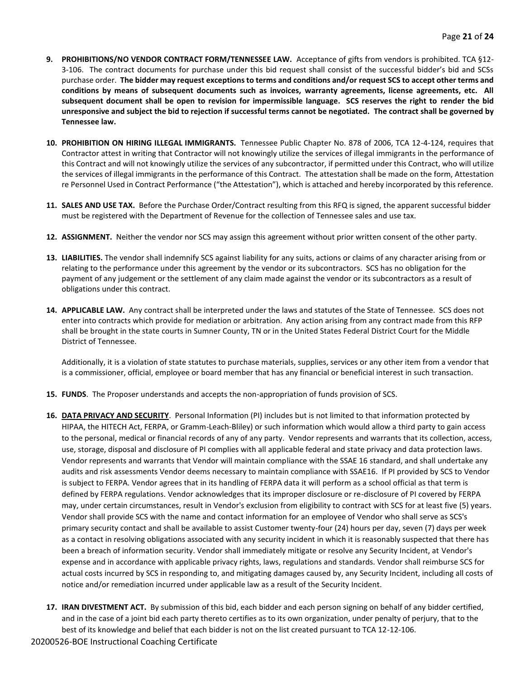- **9. PROHIBITIONS/NO VENDOR CONTRACT FORM/TENNESSEE LAW.** Acceptance of gifts from vendors is prohibited. TCA §12- 3-106. The contract documents for purchase under this bid request shall consist of the successful bidder's bid and SCSs purchase order. **The bidder may request exceptions to terms and conditions and/or request SCS to accept other terms and conditions by means of subsequent documents such as invoices, warranty agreements, license agreements, etc. All subsequent document shall be open to revision for impermissible language. SCS reserves the right to render the bid unresponsive and subject the bid to rejection if successful terms cannot be negotiated. The contract shall be governed by Tennessee law.**
- **10. PROHIBITION ON HIRING ILLEGAL IMMIGRANTS.** Tennessee Public Chapter No. 878 of 2006, TCA 12-4-124, requires that Contractor attest in writing that Contractor will not knowingly utilize the services of illegal immigrants in the performance of this Contract and will not knowingly utilize the services of any subcontractor, if permitted under this Contract, who will utilize the services of illegal immigrants in the performance of this Contract. The attestation shall be made on the form, Attestation re Personnel Used in Contract Performance ("the Attestation"), which is attached and hereby incorporated by this reference.
- **11. SALES AND USE TAX.** Before the Purchase Order/Contract resulting from this RFQ is signed, the apparent successful bidder must be registered with the Department of Revenue for the collection of Tennessee sales and use tax.
- **12. ASSIGNMENT.** Neither the vendor nor SCS may assign this agreement without prior written consent of the other party.
- **13. LIABILITIES.** The vendor shall indemnify SCS against liability for any suits, actions or claims of any character arising from or relating to the performance under this agreement by the vendor or its subcontractors. SCS has no obligation for the payment of any judgement or the settlement of any claim made against the vendor or its subcontractors as a result of obligations under this contract.
- **14. APPLICABLE LAW.** Any contract shall be interpreted under the laws and statutes of the State of Tennessee. SCS does not enter into contracts which provide for mediation or arbitration. Any action arising from any contract made from this RFP shall be brought in the state courts in Sumner County, TN or in the United States Federal District Court for the Middle District of Tennessee.

Additionally, it is a violation of state statutes to purchase materials, supplies, services or any other item from a vendor that is a commissioner, official, employee or board member that has any financial or beneficial interest in such transaction.

- **15. FUNDS**. The Proposer understands and accepts the non-appropriation of funds provision of SCS.
- **16. DATA PRIVACY AND SECURITY**. Personal Information (PI) includes but is not limited to that information protected by HIPAA, the HITECH Act, FERPA, or Gramm-Leach-Bliley) or such information which would allow a third party to gain access to the personal, medical or financial records of any of any party. Vendor represents and warrants that its collection, access, use, storage, disposal and disclosure of PI complies with all applicable federal and state privacy and data protection laws. Vendor represents and warrants that Vendor will maintain compliance with the SSAE 16 standard, and shall undertake any audits and risk assessments Vendor deems necessary to maintain compliance with SSAE16. If PI provided by SCS to Vendor is subject to FERPA. Vendor agrees that in its handling of FERPA data it will perform as a school official as that term is defined by FERPA regulations. Vendor acknowledges that its improper disclosure or re-disclosure of PI covered by FERPA may, under certain circumstances, result in Vendor's exclusion from eligibility to contract with SCS for at least five (5) years. Vendor shall provide SCS with the name and contact information for an employee of Vendor who shall serve as SCS's primary security contact and shall be available to assist Customer twenty-four (24) hours per day, seven (7) days per week as a contact in resolving obligations associated with any security incident in which it is reasonably suspected that there has been a breach of information security. Vendor shall immediately mitigate or resolve any Security Incident, at Vendor's expense and in accordance with applicable privacy rights, laws, regulations and standards. Vendor shall reimburse SCS for actual costs incurred by SCS in responding to, and mitigating damages caused by, any Security Incident, including all costs of notice and/or remediation incurred under applicable law as a result of the Security Incident.
- **17. IRAN DIVESTMENT ACT.** By submission of this bid, each bidder and each person signing on behalf of any bidder certified, and in the case of a joint bid each party thereto certifies as to its own organization, under penalty of perjury, that to the best of its knowledge and belief that each bidder is not on the list created pursuant to TCA 12-12-106.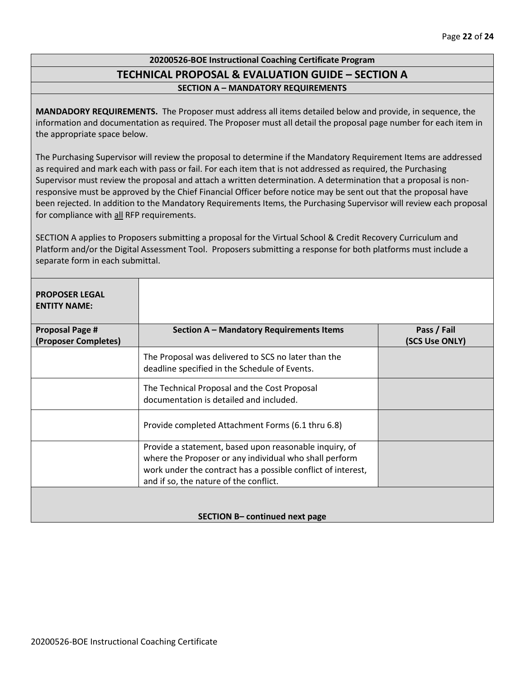# **20200526-BOE Instructional Coaching Certificate Program TECHNICAL PROPOSAL & EVALUATION GUIDE – SECTION A SECTION A – MANDATORY REQUIREMENTS**

**MANDADORY REQUIREMENTS.** The Proposer must address all items detailed below and provide, in sequence, the information and documentation as required. The Proposer must all detail the proposal page number for each item in the appropriate space below.

The Purchasing Supervisor will review the proposal to determine if the Mandatory Requirement Items are addressed as required and mark each with pass or fail. For each item that is not addressed as required, the Purchasing Supervisor must review the proposal and attach a written determination. A determination that a proposal is nonresponsive must be approved by the Chief Financial Officer before notice may be sent out that the proposal have been rejected. In addition to the Mandatory Requirements Items, the Purchasing Supervisor will review each proposal for compliance with all RFP requirements.

SECTION A applies to Proposers submitting a proposal for the Virtual School & Credit Recovery Curriculum and Platform and/or the Digital Assessment Tool. Proposers submitting a response for both platforms must include a separate form in each submittal.

| <b>PROPOSER LEGAL</b><br><b>ENTITY NAME:</b>   |                                                                                                                                                                                                                            |                               |
|------------------------------------------------|----------------------------------------------------------------------------------------------------------------------------------------------------------------------------------------------------------------------------|-------------------------------|
| <b>Proposal Page #</b><br>(Proposer Completes) | Section A - Mandatory Requirements Items                                                                                                                                                                                   | Pass / Fail<br>(SCS Use ONLY) |
|                                                | The Proposal was delivered to SCS no later than the<br>deadline specified in the Schedule of Events.                                                                                                                       |                               |
|                                                | The Technical Proposal and the Cost Proposal<br>documentation is detailed and included.                                                                                                                                    |                               |
|                                                | Provide completed Attachment Forms (6.1 thru 6.8)                                                                                                                                                                          |                               |
|                                                | Provide a statement, based upon reasonable inquiry, of<br>where the Proposer or any individual who shall perform<br>work under the contract has a possible conflict of interest,<br>and if so, the nature of the conflict. |                               |
|                                                | SECTION B- continued next page                                                                                                                                                                                             |                               |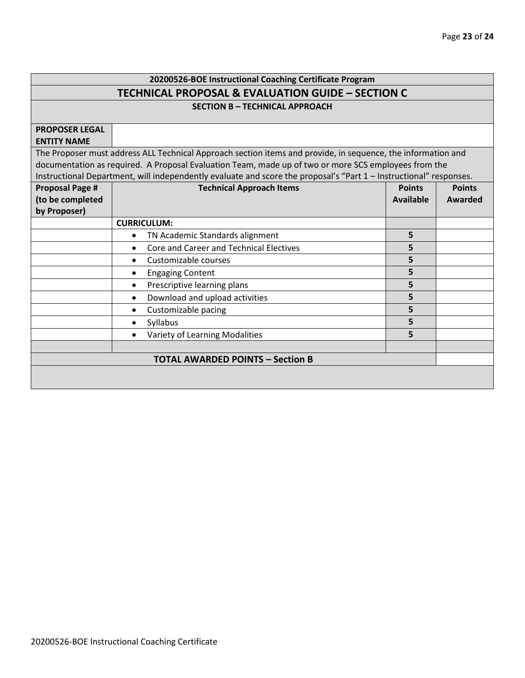# **20200526-BOE Instructional Coaching Certificate Program TECHNICAL PROPOSAL & EVALUATION GUIDE – SECTION C**

**SECTION B – TECHNICAL APPROACH**

| <b>PROPOSER LEGAL</b>  |                                                                                                                    |               |               |  |  |  |  |  |
|------------------------|--------------------------------------------------------------------------------------------------------------------|---------------|---------------|--|--|--|--|--|
| <b>ENTITY NAME</b>     |                                                                                                                    |               |               |  |  |  |  |  |
|                        | The Proposer must address ALL Technical Approach section items and provide, in sequence, the information and       |               |               |  |  |  |  |  |
|                        | documentation as required. A Proposal Evaluation Team, made up of two or more SCS employees from the               |               |               |  |  |  |  |  |
|                        | Instructional Department, will independently evaluate and score the proposal's "Part 1 - Instructional" responses. |               |               |  |  |  |  |  |
| <b>Proposal Page #</b> | <b>Technical Approach Items</b>                                                                                    | <b>Points</b> | <b>Points</b> |  |  |  |  |  |
| (to be completed       |                                                                                                                    | Available     | Awarded       |  |  |  |  |  |
| by Proposer)           |                                                                                                                    |               |               |  |  |  |  |  |
|                        | <b>CURRICULUM:</b>                                                                                                 |               |               |  |  |  |  |  |
|                        | TN Academic Standards alignment<br>$\bullet$                                                                       | 5             |               |  |  |  |  |  |
|                        | Core and Career and Technical Electives                                                                            | 5             |               |  |  |  |  |  |
|                        | Customizable courses                                                                                               | 5             |               |  |  |  |  |  |
|                        | <b>Engaging Content</b><br>٠                                                                                       | 5             |               |  |  |  |  |  |
|                        | Prescriptive learning plans<br>$\bullet$                                                                           | 5             |               |  |  |  |  |  |
|                        | Download and upload activities<br>$\bullet$                                                                        | 5             |               |  |  |  |  |  |
|                        | Customizable pacing<br>$\bullet$                                                                                   | 5             |               |  |  |  |  |  |
|                        | Syllabus<br>$\bullet$                                                                                              | 5             |               |  |  |  |  |  |
|                        | Variety of Learning Modalities<br>$\bullet$                                                                        | 5             |               |  |  |  |  |  |
|                        |                                                                                                                    |               |               |  |  |  |  |  |
|                        | <b>TOTAL AWARDED POINTS - Section B</b>                                                                            |               |               |  |  |  |  |  |
|                        |                                                                                                                    |               |               |  |  |  |  |  |
|                        |                                                                                                                    |               |               |  |  |  |  |  |